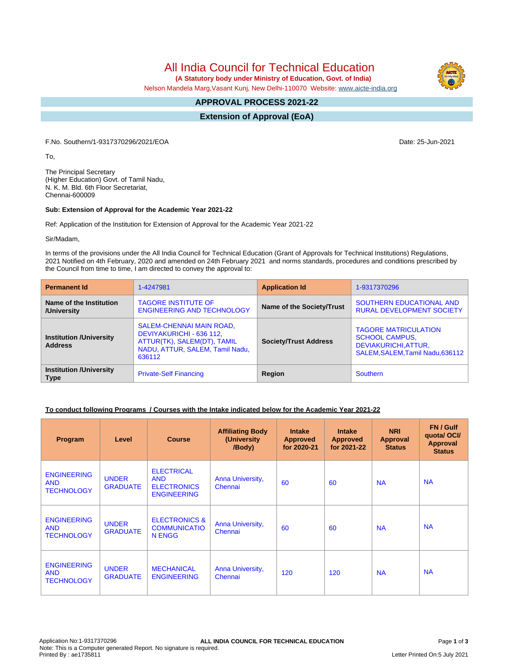All India Council for Technical Education

 **(A Statutory body under Ministry of Education, Govt. of India)**

Nelson Mandela Marg,Vasant Kunj, New Delhi-110070 Website: [www.aicte-india.org](http://www.aicte-india.org)

#### **APPROVAL PROCESS 2021-22 -**

**Extension of Approval (EoA)**

F.No. Southern/1-9317370296/2021/EOA Date: 25-Jun-2021

To,

The Principal Secretary (Higher Education) Govt. of Tamil Nadu, N. K. M. Bld. 6th Floor Secretariat, Chennai-600009

### **Sub: Extension of Approval for the Academic Year 2021-22**

Ref: Application of the Institution for Extension of Approval for the Academic Year 2021-22

Sir/Madam,

In terms of the provisions under the All India Council for Technical Education (Grant of Approvals for Technical Institutions) Regulations, 2021 Notified on 4th February, 2020 and amended on 24th February 2021 and norms standards, procedures and conditions prescribed by the Council from time to time, I am directed to convey the approval to:

| <b>Permanent Id</b>                              | 1-4247981                                                                                                                        | <b>Application Id</b>        | 1-9317370296                                                                                                     |  |
|--------------------------------------------------|----------------------------------------------------------------------------------------------------------------------------------|------------------------------|------------------------------------------------------------------------------------------------------------------|--|
| Name of the Institution<br>/University           | <b>TAGORE INSTITUTE OF</b><br><b>ENGINEERING AND TECHNOLOGY</b>                                                                  | Name of the Society/Trust    | SOUTHERN EDUCATIONAL AND<br><b>RURAL DEVELOPMENT SOCIETY</b>                                                     |  |
| <b>Institution /University</b><br><b>Address</b> | SALEM-CHENNAI MAIN ROAD,<br>DEVIYAKURICHI - 636 112,<br>ATTUR(TK), SALEM(DT), TAMIL<br>NADU, ATTUR, SALEM, Tamil Nadu,<br>636112 | <b>Society/Trust Address</b> | <b>TAGORE MATRICULATION</b><br><b>SCHOOL CAMPUS,</b><br>DEVIAKURICHI, ATTUR,<br>SALEM, SALEM, Tamil Nadu, 636112 |  |
| <b>Institution /University</b><br><b>Type</b>    | <b>Private-Self Financing</b>                                                                                                    | Region                       | <b>Southern</b>                                                                                                  |  |

## **To conduct following Programs / Courses with the Intake indicated below for the Academic Year 2021-22**

| Program                                               | Level                           | <b>Course</b>                                                               | <b>Affiliating Body</b><br>(University<br>/Body) | <b>Intake</b><br><b>Approved</b><br>for 2020-21 | <b>Intake</b><br><b>Approved</b><br>for 2021-22 | <b>NRI</b><br>Approval<br><b>Status</b> | FN / Gulf<br>quota/OCI/<br><b>Approval</b><br><b>Status</b> |
|-------------------------------------------------------|---------------------------------|-----------------------------------------------------------------------------|--------------------------------------------------|-------------------------------------------------|-------------------------------------------------|-----------------------------------------|-------------------------------------------------------------|
| <b>ENGINEERING</b><br><b>AND</b><br><b>TECHNOLOGY</b> | <b>UNDER</b><br><b>GRADUATE</b> | <b>ELECTRICAL</b><br><b>AND</b><br><b>ELECTRONICS</b><br><b>ENGINEERING</b> | Anna University,<br>Chennai                      | 60                                              | 60                                              | <b>NA</b>                               | <b>NA</b>                                                   |
| <b>ENGINEERING</b><br><b>AND</b><br><b>TECHNOLOGY</b> | <b>UNDER</b><br><b>GRADUATE</b> | <b>ELECTRONICS &amp;</b><br><b>COMMUNICATIO</b><br>N ENGG                   | Anna University,<br>Chennai                      | 60                                              | 60                                              | <b>NA</b>                               | <b>NA</b>                                                   |
| <b>ENGINEERING</b><br><b>AND</b><br><b>TECHNOLOGY</b> | <b>UNDER</b><br><b>GRADUATE</b> | <b>MECHANICAL</b><br><b>ENGINEERING</b>                                     | Anna University,<br>Chennai                      | 120                                             | 120                                             | <b>NA</b>                               | <b>NA</b>                                                   |

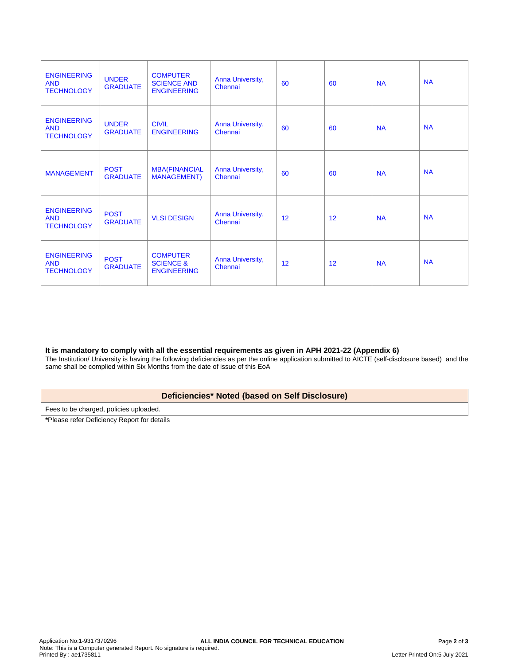| <b>ENGINEERING</b><br><b>AND</b><br><b>TECHNOLOGY</b> | <b>UNDER</b><br><b>GRADUATE</b> | <b>COMPUTER</b><br><b>SCIENCE AND</b><br><b>ENGINEERING</b>   | Anna University,<br>Chennai | 60 | 60 | <b>NA</b> | <b>NA</b> |
|-------------------------------------------------------|---------------------------------|---------------------------------------------------------------|-----------------------------|----|----|-----------|-----------|
| <b>ENGINEERING</b><br><b>AND</b><br><b>TECHNOLOGY</b> | <b>UNDER</b><br><b>GRADUATE</b> | <b>CIVIL</b><br><b>ENGINEERING</b>                            | Anna University,<br>Chennai | 60 | 60 | <b>NA</b> | <b>NA</b> |
| <b>MANAGEMENT</b>                                     | <b>POST</b><br><b>GRADUATE</b>  | <b>MBA(FINANCIAL</b><br><b>MANAGEMENT)</b>                    | Anna University,<br>Chennai | 60 | 60 | <b>NA</b> | <b>NA</b> |
| <b>ENGINEERING</b><br><b>AND</b><br><b>TECHNOLOGY</b> | <b>POST</b><br><b>GRADUATE</b>  | <b>VLSI DESIGN</b>                                            | Anna University,<br>Chennai | 12 | 12 | <b>NA</b> | <b>NA</b> |
| <b>ENGINEERING</b><br><b>AND</b><br><b>TECHNOLOGY</b> | <b>POST</b><br><b>GRADUATE</b>  | <b>COMPUTER</b><br><b>SCIENCE &amp;</b><br><b>ENGINEERING</b> | Anna University,<br>Chennai | 12 | 12 | <b>NA</b> | <b>NA</b> |

### **It is mandatory to comply with all the essential requirements as given in APH 2021-22 (Appendix 6)**

The Institution/ University is having the following deficiencies as per the online application submitted to AICTE (self-disclosure based) and the same shall be complied within Six Months from the date of issue of this EoA

# **Deficiencies\* Noted (based on Self Disclosure)**

Fees to be charged, policies uploaded.

**\***Please refer Deficiency Report for details